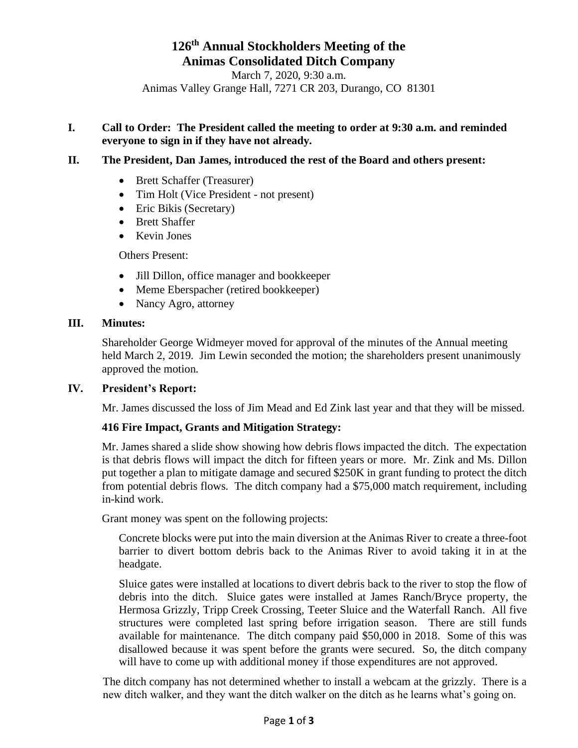# **126 th Annual Stockholders Meeting of the Animas Consolidated Ditch Company**

March 7, 2020, 9:30 a.m. Animas Valley Grange Hall, 7271 CR 203, Durango, CO 81301

# **I. Call to Order: The President called the meeting to order at 9:30 a.m. and reminded everyone to sign in if they have not already.**

## **II. The President, Dan James, introduced the rest of the Board and others present:**

- Brett Schaffer (Treasurer)
- Tim Holt (Vice President not present)
- Eric Bikis (Secretary)
- Brett Shaffer
- Kevin Jones

Others Present:

- Jill Dillon, office manager and bookkeeper
- Meme Eberspacher (retired bookkeeper)
- Nancy Agro, attorney

#### **III. Minutes:**

Shareholder George Widmeyer moved for approval of the minutes of the Annual meeting held March 2, 2019. Jim Lewin seconded the motion; the shareholders present unanimously approved the motion.

#### **IV. President's Report:**

Mr. James discussed the loss of Jim Mead and Ed Zink last year and that they will be missed.

#### **416 Fire Impact, Grants and Mitigation Strategy:**

Mr. James shared a slide show showing how debris flows impacted the ditch. The expectation is that debris flows will impact the ditch for fifteen years or more. Mr. Zink and Ms. Dillon put together a plan to mitigate damage and secured \$250K in grant funding to protect the ditch from potential debris flows. The ditch company had a \$75,000 match requirement, including in-kind work.

Grant money was spent on the following projects:

Concrete blocks were put into the main diversion at the Animas River to create a three-foot barrier to divert bottom debris back to the Animas River to avoid taking it in at the headgate.

Sluice gates were installed at locations to divert debris back to the river to stop the flow of debris into the ditch. Sluice gates were installed at James Ranch/Bryce property, the Hermosa Grizzly, Tripp Creek Crossing, Teeter Sluice and the Waterfall Ranch. All five structures were completed last spring before irrigation season. There are still funds available for maintenance. The ditch company paid \$50,000 in 2018. Some of this was disallowed because it was spent before the grants were secured. So, the ditch company will have to come up with additional money if those expenditures are not approved.

The ditch company has not determined whether to install a webcam at the grizzly. There is a new ditch walker, and they want the ditch walker on the ditch as he learns what's going on.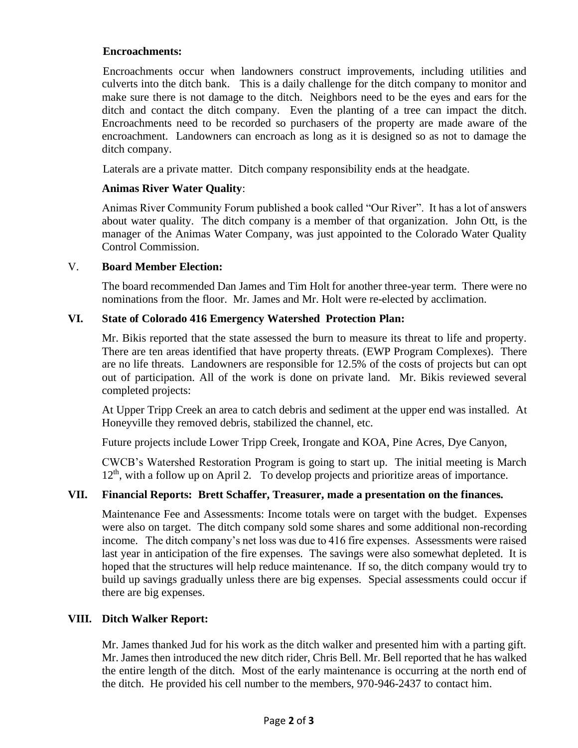### **Encroachments:**

Encroachments occur when landowners construct improvements, including utilities and culverts into the ditch bank. This is a daily challenge for the ditch company to monitor and make sure there is not damage to the ditch. Neighbors need to be the eyes and ears for the ditch and contact the ditch company. Even the planting of a tree can impact the ditch. Encroachments need to be recorded so purchasers of the property are made aware of the encroachment. Landowners can encroach as long as it is designed so as not to damage the ditch company.

Laterals are a private matter. Ditch company responsibility ends at the headgate.

#### **Animas River Water Quality**:

Animas River Community Forum published a book called "Our River". It has a lot of answers about water quality. The ditch company is a member of that organization. John Ott, is the manager of the Animas Water Company, was just appointed to the Colorado Water Quality Control Commission.

#### V. **Board Member Election:**

The board recommended Dan James and Tim Holt for another three-year term. There were no nominations from the floor. Mr. James and Mr. Holt were re-elected by acclimation.

## **VI. State of Colorado 416 Emergency Watershed Protection Plan:**

Mr. Bikis reported that the state assessed the burn to measure its threat to life and property. There are ten areas identified that have property threats. (EWP Program Complexes). There are no life threats. Landowners are responsible for 12.5% of the costs of projects but can opt out of participation. All of the work is done on private land. Mr. Bikis reviewed several completed projects:

At Upper Tripp Creek an area to catch debris and sediment at the upper end was installed. At Honeyville they removed debris, stabilized the channel, etc.

Future projects include Lower Tripp Creek, Irongate and KOA, Pine Acres, Dye Canyon,

CWCB's Watershed Restoration Program is going to start up. The initial meeting is March  $12<sup>th</sup>$ , with a follow up on April 2. To develop projects and prioritize areas of importance.

# **VII. Financial Reports: Brett Schaffer, Treasurer, made a presentation on the finances.**

Maintenance Fee and Assessments: Income totals were on target with the budget. Expenses were also on target. The ditch company sold some shares and some additional non-recording income. The ditch company's net loss was due to 416 fire expenses. Assessments were raised last year in anticipation of the fire expenses. The savings were also somewhat depleted. It is hoped that the structures will help reduce maintenance. If so, the ditch company would try to build up savings gradually unless there are big expenses. Special assessments could occur if there are big expenses.

# **VIII. Ditch Walker Report:**

Mr. James thanked Jud for his work as the ditch walker and presented him with a parting gift. Mr. James then introduced the new ditch rider, Chris Bell. Mr. Bell reported that he has walked the entire length of the ditch. Most of the early maintenance is occurring at the north end of the ditch. He provided his cell number to the members, 970-946-2437 to contact him.